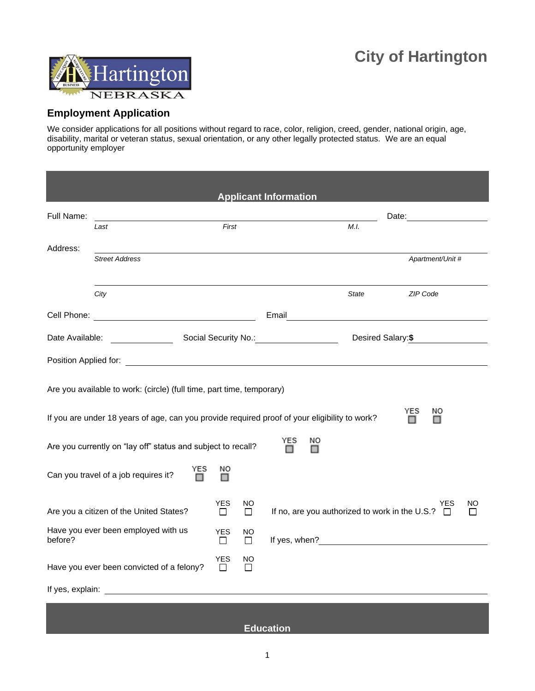

## **Employment Application**

We consider applications for all positions without regard to race, color, religion, creed, gender, national origin, age, disability, marital or veteran status, sexual orientation, or any other legally protected status. We are an equal opportunity employer

| <b>Applicant Information</b>                                                                                                                                                        |                                           |                      |                |                                                                                                                                                                                                                               |                             |  |  |  |  |  |
|-------------------------------------------------------------------------------------------------------------------------------------------------------------------------------------|-------------------------------------------|----------------------|----------------|-------------------------------------------------------------------------------------------------------------------------------------------------------------------------------------------------------------------------------|-----------------------------|--|--|--|--|--|
| Full Name:                                                                                                                                                                          |                                           |                      |                |                                                                                                                                                                                                                               | Date: <u>______________</u> |  |  |  |  |  |
|                                                                                                                                                                                     | Last                                      | First                |                | M.I.                                                                                                                                                                                                                          |                             |  |  |  |  |  |
| Address:                                                                                                                                                                            |                                           |                      |                |                                                                                                                                                                                                                               |                             |  |  |  |  |  |
|                                                                                                                                                                                     | <b>Street Address</b>                     |                      |                |                                                                                                                                                                                                                               | Apartment/Unit #            |  |  |  |  |  |
|                                                                                                                                                                                     | City                                      |                      |                | <b>State</b>                                                                                                                                                                                                                  | ZIP Code                    |  |  |  |  |  |
|                                                                                                                                                                                     |                                           |                      |                | Email and the contract of the contract of the contract of the contract of the contract of the contract of the contract of the contract of the contract of the contract of the contract of the contract of the contract of the |                             |  |  |  |  |  |
| Date Available:                                                                                                                                                                     |                                           |                      |                | Social Security No.: No.:                                                                                                                                                                                                     | Desired Salary:\$           |  |  |  |  |  |
|                                                                                                                                                                                     |                                           |                      |                |                                                                                                                                                                                                                               |                             |  |  |  |  |  |
| Are you available to work: (circle) (full time, part time, temporary)<br>YES<br>NO<br>If you are under 18 years of age, can you provide required proof of your eligibility to work? |                                           |                      |                |                                                                                                                                                                                                                               |                             |  |  |  |  |  |
| YES<br>NO<br>Are you currently on "lay off" status and subject to recall?<br>⊓                                                                                                      |                                           |                      |                |                                                                                                                                                                                                                               |                             |  |  |  |  |  |
| YES<br>ΝO<br>Can you travel of a job requires it?<br>□                                                                                                                              |                                           |                      |                |                                                                                                                                                                                                                               |                             |  |  |  |  |  |
|                                                                                                                                                                                     | Are you a citizen of the United States?   | <b>YES</b><br>$\Box$ | NO<br>$\Box$   | If no, are you authorized to work in the U.S.? $\Box$                                                                                                                                                                         | YES<br>NΟ                   |  |  |  |  |  |
| before?                                                                                                                                                                             | Have you ever been employed with us       | <b>YES</b><br>Ш      | <b>NO</b><br>П |                                                                                                                                                                                                                               |                             |  |  |  |  |  |
|                                                                                                                                                                                     | Have you ever been convicted of a felony? | <b>YES</b><br>П      | NO<br>П        |                                                                                                                                                                                                                               |                             |  |  |  |  |  |
|                                                                                                                                                                                     |                                           |                      |                |                                                                                                                                                                                                                               |                             |  |  |  |  |  |

## **Education**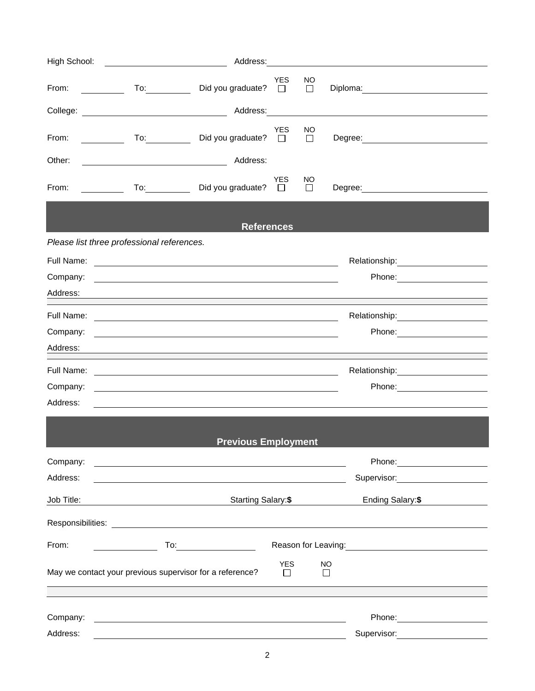| High School: | <u> 1980 - Johann Barnett, fransk politik (</u>                                                                                                                                                                                                                                                                                                                                                                      |                             |                  |               |                                                                                                                                                                                                                                |  |  |
|--------------|----------------------------------------------------------------------------------------------------------------------------------------------------------------------------------------------------------------------------------------------------------------------------------------------------------------------------------------------------------------------------------------------------------------------|-----------------------------|------------------|---------------|--------------------------------------------------------------------------------------------------------------------------------------------------------------------------------------------------------------------------------|--|--|
| From:        | $\begin{array}{ccc} \textbf{T_0:} & \textbf{T_1:} & \textbf{T_2:} & \textbf{T_3:} & \textbf{T_4:} & \textbf{T_5:} & \textbf{T_6:} & \textbf{T_7:} & \textbf{T_8:} & \textbf{T_9:} & \textbf{T_{10:} & \textbf{T_{11:} & \textbf{T_{12:} & \textbf{T_{13:} & \textbf{T_{14:} & \textbf{T_{15:} & \textbf{T_{15:} & \textbf{T_{15:} & \textbf{T_{15:} & \textbf{T_{15:} & \textbf{T_{15:} & \textbf{T_{15:} & \textbf$ | Did you graduate? □         | <b>YES</b>       | NO.<br>$\Box$ | Diploma: 2000 Contract Contract Contract Contract Contract Contract Contract Contract Contract Contract Contract Contract Contract Contract Contract Contract Contract Contract Contract Contract Contract Contract Contract C |  |  |
|              |                                                                                                                                                                                                                                                                                                                                                                                                                      |                             |                  |               |                                                                                                                                                                                                                                |  |  |
| From:        | To: the contract of the contract of the contract of the contract of the contract of the contract of the contract of the contract of the contract of the contract of the contract of the contract of the contract of the contra<br>$\mathcal{L} = \frac{1}{2}$                                                                                                                                                        | Did you graduate? $\square$ | <b>YES</b>       | NO.<br>$\Box$ | Degree: <u>_______________________________</u>                                                                                                                                                                                 |  |  |
| Other:       |                                                                                                                                                                                                                                                                                                                                                                                                                      | Address:                    |                  |               |                                                                                                                                                                                                                                |  |  |
| From:        | <u>and the state of the state of the state of the state of the state of the state of the state of the state of the state of the state of the state of the state of the state of the state of the state of the state of the state</u>                                                                                                                                                                                 | To: Did you graduate? □     | <b>YES</b>       | NO<br>$\Box$  | Degree: ________________________                                                                                                                                                                                               |  |  |
|              |                                                                                                                                                                                                                                                                                                                                                                                                                      | <b>References</b>           |                  |               |                                                                                                                                                                                                                                |  |  |
|              | Please list three professional references.                                                                                                                                                                                                                                                                                                                                                                           |                             |                  |               |                                                                                                                                                                                                                                |  |  |
|              |                                                                                                                                                                                                                                                                                                                                                                                                                      |                             |                  |               |                                                                                                                                                                                                                                |  |  |
| Company:     | <u>state and the state of the state of the state of the state of the state of the state of the state of the state of the state of the state of the state of the state of the state of the state of the state of the state of the</u>                                                                                                                                                                                 |                             |                  |               |                                                                                                                                                                                                                                |  |  |
|              |                                                                                                                                                                                                                                                                                                                                                                                                                      |                             |                  |               | Address: National Address: National Address: National Address: National Address: National Address: National Address: National Address: National Address: National Address: National Address: National Address: National Addres |  |  |
|              |                                                                                                                                                                                                                                                                                                                                                                                                                      |                             |                  |               | Relationship: 2000                                                                                                                                                                                                             |  |  |
| Company:     | <u> 1989 - Johann Stoff, amerikansk politiker (d. 1989)</u>                                                                                                                                                                                                                                                                                                                                                          |                             |                  |               |                                                                                                                                                                                                                                |  |  |
| Address:     |                                                                                                                                                                                                                                                                                                                                                                                                                      |                             |                  |               | ,我们也不会有什么。""我们的人,我们也不会有什么?""我们的人,我们也不会有什么?""我们的人,我们也不会有什么?""我们的人,我们也不会有什么?""我们的人                                                                                                                                               |  |  |
| Full Name:   | <u> 1989 - Andrea Brand, Amerikaansk politiker (</u>                                                                                                                                                                                                                                                                                                                                                                 |                             |                  |               |                                                                                                                                                                                                                                |  |  |
| Company:     | <u> 1989 - Johann Stein, marwolaethau a bhann an t-Amhain ann an t-Amhain an t-Amhain an t-Amhain an t-Amhain an </u>                                                                                                                                                                                                                                                                                                |                             |                  |               | Phone: ________________________                                                                                                                                                                                                |  |  |
| Address:     |                                                                                                                                                                                                                                                                                                                                                                                                                      |                             |                  |               |                                                                                                                                                                                                                                |  |  |
|              |                                                                                                                                                                                                                                                                                                                                                                                                                      |                             |                  |               |                                                                                                                                                                                                                                |  |  |
|              |                                                                                                                                                                                                                                                                                                                                                                                                                      | <b>Previous Employment</b>  |                  |               |                                                                                                                                                                                                                                |  |  |
| Company:     | <u>a sa barang ang pagbabang nagang pangangang nagang pangangang nagang pang</u>                                                                                                                                                                                                                                                                                                                                     |                             |                  |               | Phone: ________________________                                                                                                                                                                                                |  |  |
| Address:     |                                                                                                                                                                                                                                                                                                                                                                                                                      |                             |                  |               | Supervisor: 2000                                                                                                                                                                                                               |  |  |
| Job Title:   | <u> 1989 - Johann Barn, fransk politik amerikansk politik (</u>                                                                                                                                                                                                                                                                                                                                                      | Starting Salary: \$         | Ending Salary:\$ |               |                                                                                                                                                                                                                                |  |  |
|              |                                                                                                                                                                                                                                                                                                                                                                                                                      |                             |                  |               |                                                                                                                                                                                                                                |  |  |
| From:        |                                                                                                                                                                                                                                                                                                                                                                                                                      | To: $\qquad \qquad$         |                  |               |                                                                                                                                                                                                                                |  |  |
|              | May we contact your previous supervisor for a reference?                                                                                                                                                                                                                                                                                                                                                             |                             | <b>YES</b><br>П  |               | NO<br>$\Box$                                                                                                                                                                                                                   |  |  |
| Company:     |                                                                                                                                                                                                                                                                                                                                                                                                                      |                             |                  |               |                                                                                                                                                                                                                                |  |  |
| Address:     |                                                                                                                                                                                                                                                                                                                                                                                                                      |                             |                  |               | Supervisor:<br><u> 1980 - Jan Barat, politik e</u>                                                                                                                                                                             |  |  |
|              |                                                                                                                                                                                                                                                                                                                                                                                                                      |                             |                  |               |                                                                                                                                                                                                                                |  |  |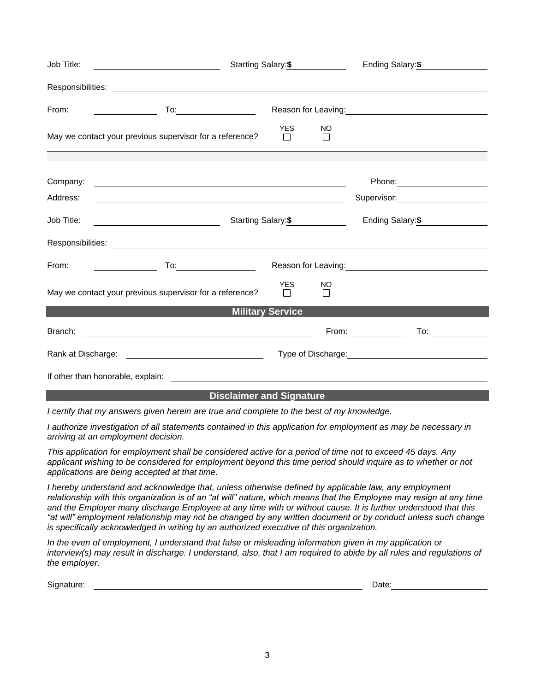| Job Title:                                                                                                                                                                                                                                   |                                                                                                                       | Starting Salary: \$  | Ending Salary: \$       |                             |                                                                                                                                                                                                                                       |  |  |  |  |  |
|----------------------------------------------------------------------------------------------------------------------------------------------------------------------------------------------------------------------------------------------|-----------------------------------------------------------------------------------------------------------------------|----------------------|-------------------------|-----------------------------|---------------------------------------------------------------------------------------------------------------------------------------------------------------------------------------------------------------------------------------|--|--|--|--|--|
|                                                                                                                                                                                                                                              |                                                                                                                       |                      |                         |                             |                                                                                                                                                                                                                                       |  |  |  |  |  |
| From:                                                                                                                                                                                                                                        | <u> 1990 - John Stone, amerikansk politiker</u>                                                                       |                      |                         |                             | Reason for Leaving:<br><u>Next and the substitution of the substitution</u> of the substitution of the substitution of the substitution of the substitution of the substitution of the substitution of the substitution of the substi |  |  |  |  |  |
|                                                                                                                                                                                                                                              | May we contact your previous supervisor for a reference?                                                              | <b>YES</b><br>$\Box$ | <b>NO</b><br>$\Box$     |                             |                                                                                                                                                                                                                                       |  |  |  |  |  |
|                                                                                                                                                                                                                                              |                                                                                                                       |                      |                         |                             |                                                                                                                                                                                                                                       |  |  |  |  |  |
| Address:                                                                                                                                                                                                                                     | <u> 1989 - Johann Stoff, deutscher Stoff, der Stoff, der Stoff, der Stoff, der Stoff, der Stoff, der Stoff, der S</u> |                      |                         |                             | Supervisor: Victor Control of Control Control Control Control Control Control Control Control Control Control Co                                                                                                                      |  |  |  |  |  |
|                                                                                                                                                                                                                                              | Job Title: __________________________________                                                                         | Starting Salary: \$  | Ending Salary: \$       |                             |                                                                                                                                                                                                                                       |  |  |  |  |  |
|                                                                                                                                                                                                                                              |                                                                                                                       |                      |                         |                             |                                                                                                                                                                                                                                       |  |  |  |  |  |
|                                                                                                                                                                                                                                              | From: $\qquad \qquad$                                                                                                 |                      |                         |                             |                                                                                                                                                                                                                                       |  |  |  |  |  |
|                                                                                                                                                                                                                                              | May we contact your previous supervisor for a reference?                                                              | <b>YES</b><br>$\Box$ | NO<br>$\Box$            |                             |                                                                                                                                                                                                                                       |  |  |  |  |  |
| <b>Military Service And Allen Control Control Control Control Control Control Control Control Control Control Co</b><br><u> 1989 - Johann Stein, mars ar yn y brening y brening yn y brening y brening yn y brening y brening yn y breni</u> |                                                                                                                       |                      |                         |                             |                                                                                                                                                                                                                                       |  |  |  |  |  |
|                                                                                                                                                                                                                                              |                                                                                                                       |                      |                         | From: New York Changes 1997 | $\overline{a}$                                                                                                                                                                                                                        |  |  |  |  |  |
|                                                                                                                                                                                                                                              |                                                                                                                       |                      | Type of Discharge: 1999 |                             |                                                                                                                                                                                                                                       |  |  |  |  |  |
|                                                                                                                                                                                                                                              |                                                                                                                       |                      |                         |                             |                                                                                                                                                                                                                                       |  |  |  |  |  |

## **Disclaimer and Signature**

*I certify that my answers given herein are true and complete to the best of my knowledge.* 

*I authorize investigation of all statements contained in this application for employment as may be necessary in arriving at an employment decision.*

*This application for employment shall be considered active for a period of time not to exceed 45 days. Any applicant wishing to be considered for employment beyond this time period should inquire as to whether or not applications are being accepted at that time.*

*I hereby understand and acknowledge that, unless otherwise defined by applicable law, any employment*  relationship with this organization is of an "at will" nature, which means that the Employee may resign at any time *and the Employer many discharge Employee at any time with or without cause. It is further understood that this "at will" employment relationship may not be changed by any written document or by conduct unless such change is specifically acknowledged in writing by an authorized executive of this organization.* 

*In the even of employment, I understand that false or misleading information given in my application or interview(s) may result in discharge. I understand, also, that I am required to abide by all rules and regulations of the employer.* 

Signature: Date: Detector of the Contract of the Contract of the Contract of the Contract of the Date: Date: D